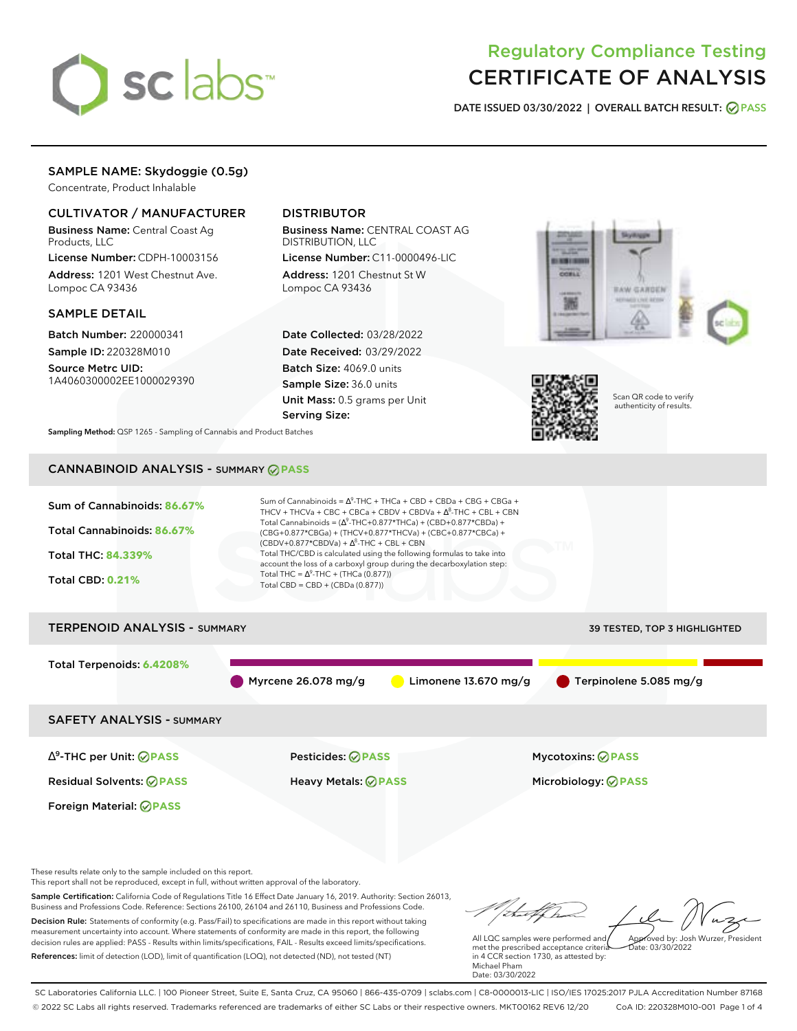

# Regulatory Compliance Testing CERTIFICATE OF ANALYSIS

**DATE ISSUED 03/30/2022 | OVERALL BATCH RESULT: PASS**

# SAMPLE NAME: Skydoggie (0.5g)

Concentrate, Product Inhalable

### CULTIVATOR / MANUFACTURER

Business Name: Central Coast Ag Products, LLC

License Number: CDPH-10003156 Address: 1201 West Chestnut Ave. Lompoc CA 93436

### SAMPLE DETAIL

Batch Number: 220000341 Sample ID: 220328M010 Source Metrc UID:

1A4060300002EE1000029390

# DISTRIBUTOR

Business Name: CENTRAL COAST AG DISTRIBUTION, LLC License Number: C11-0000496-LIC

Address: 1201 Chestnut St W Lompoc CA 93436

Date Collected: 03/28/2022 Date Received: 03/29/2022 Batch Size: 4069.0 units Sample Size: 36.0 units Unit Mass: 0.5 grams per Unit Serving Size:





Scan QR code to verify authenticity of results.

**Sampling Method:** QSP 1265 - Sampling of Cannabis and Product Batches

# CANNABINOID ANALYSIS - SUMMARY **PASS**



Sample Certification: California Code of Regulations Title 16 Effect Date January 16, 2019. Authority: Section 26013, Business and Professions Code. Reference: Sections 26100, 26104 and 26110, Business and Professions Code. Decision Rule: Statements of conformity (e.g. Pass/Fail) to specifications are made in this report without taking measurement uncertainty into account. Where statements of conformity are made in this report, the following decision rules are applied: PASS - Results within limits/specifications, FAIL - Results exceed limits/specifications.

References: limit of detection (LOD), limit of quantification (LOQ), not detected (ND), not tested (NT)

All LQC samples were performed and met the prescribed acceptance criteria in 4 CCR section 1730, as attested by: Michael Pham Approved by: Josh Wurzer, President  $\frac{1}{2}$ ate: 03/30/2022

Date: 03/30/2022

SC Laboratories California LLC. | 100 Pioneer Street, Suite E, Santa Cruz, CA 95060 | 866-435-0709 | sclabs.com | C8-0000013-LIC | ISO/IES 17025:2017 PJLA Accreditation Number 87168 © 2022 SC Labs all rights reserved. Trademarks referenced are trademarks of either SC Labs or their respective owners. MKT00162 REV6 12/20 CoA ID: 220328M010-001 Page 1 of 4